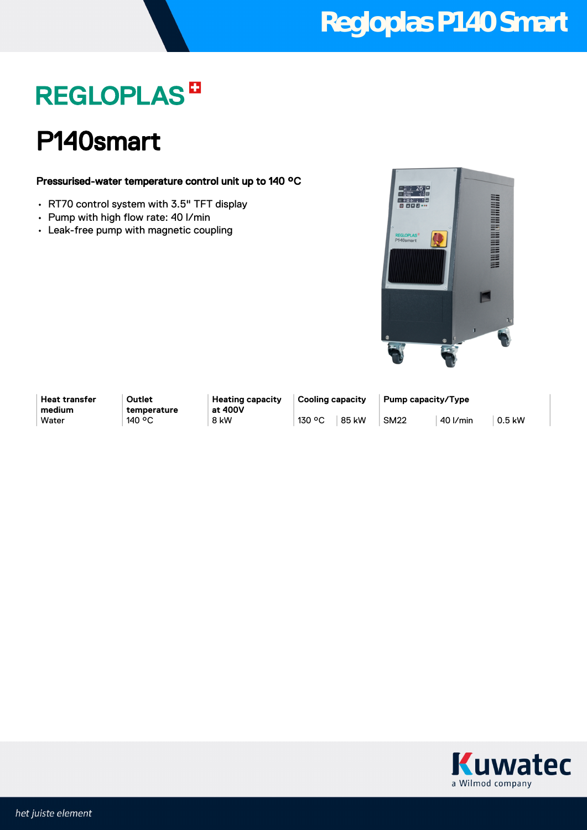# **Regloplas P140 Smart**

# **REGLOPLAS<sup>B</sup>**

### P140smart

#### Pressurised-water temperature control unit up to 140 °C

- RT70 control system with 3.5" TFT display
- Pump with high flow rate: 40 l/min
- Leak-free pump with magnetic coupling



**Heat transfer medium**

**Outlet temperature** **Heating capacity at 400V**

**Cooling capacity Pump capacity/Type** Water 140 °C 8kW 130 °C 85 kW 130 °C 85 kW 130 °C 40 l/min 0.5 kW

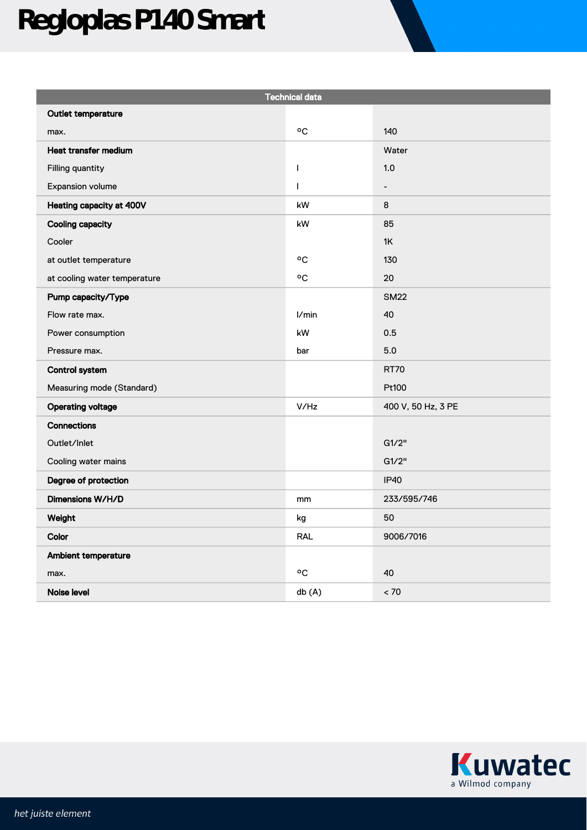# **Regloplas P140 Smart**

| <b>Technical data</b>        |                         |                    |
|------------------------------|-------------------------|--------------------|
| Outlet temperature           |                         |                    |
| max.                         | °C                      | 140                |
| Heat transfer medium         |                         | Water              |
| Filling quantity             | $\overline{1}$          | 1.0                |
| Expansion volume             | $\mathbf{I}$            | $\qquad \qquad -$  |
| Heating capacity at 400V     | kW                      | 8                  |
| <b>Cooling capacity</b>      | kW                      | 85                 |
| Cooler                       |                         | 1K                 |
| at outlet temperature        | °C                      | 130                |
| at cooling water temperature | $\mathrm{^o}\mathrm{C}$ | 20                 |
| Pump capacity/Type           |                         | <b>SM22</b>        |
| Flow rate max.               | I/min                   | 40                 |
| Power consumption            | kW                      | 0.5                |
| Pressure max.                | bar                     | $5.0\,$            |
| <b>Control system</b>        |                         | <b>RT70</b>        |
| Measuring mode (Standard)    |                         | Pt100              |
| <b>Operating voltage</b>     | V/Hz                    | 400 V, 50 Hz, 3 PE |
| Connections                  |                         |                    |
| Outlet/Inlet                 |                         | G1/2"              |
| Cooling water mains          |                         | G1/2"              |
| Degree of protection         |                         | <b>IP40</b>        |
| Dimensions W/H/D             | mm                      | 233/595/746        |
| Weight                       | kg                      | 50                 |
| Color                        | RAL                     | 9006/7016          |
| Ambient temperature          |                         |                    |
| max.                         | °C                      | 40                 |
| Noise level                  | db (A)                  | < 70               |